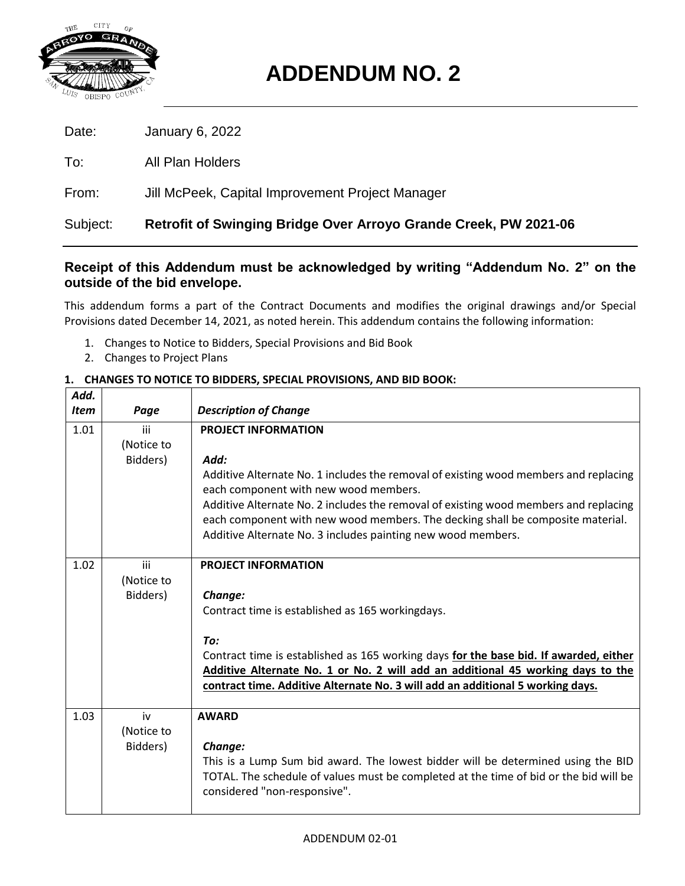

# **ADDENDUM NO. 2**

| Date:    | January 6, 2022                                                         |
|----------|-------------------------------------------------------------------------|
| To:      | All Plan Holders                                                        |
| From:    | Jill McPeek, Capital Improvement Project Manager                        |
| Subject: | <b>Retrofit of Swinging Bridge Over Arroyo Grande Creek, PW 2021-06</b> |

# **Receipt of this Addendum must be acknowledged by writing "Addendum No. 2" on the outside of the bid envelope.**

This addendum forms a part of the Contract Documents and modifies the original drawings and/or Special Provisions dated December 14, 2021, as noted herein. This addendum contains the following information:

- 1. Changes to Notice to Bidders, Special Provisions and Bid Book
- 2. Changes to Project Plans

| Add.<br><b>Item</b> | Page                          | <b>Description of Change</b>                                                                                                                                                                                                                                                                                                                                                                                  |
|---------------------|-------------------------------|---------------------------------------------------------------------------------------------------------------------------------------------------------------------------------------------------------------------------------------------------------------------------------------------------------------------------------------------------------------------------------------------------------------|
| 1.01                | iii<br>(Notice to<br>Bidders) | <b>PROJECT INFORMATION</b><br>Add:<br>Additive Alternate No. 1 includes the removal of existing wood members and replacing<br>each component with new wood members.<br>Additive Alternate No. 2 includes the removal of existing wood members and replacing<br>each component with new wood members. The decking shall be composite material.<br>Additive Alternate No. 3 includes painting new wood members. |
| 1.02                | iii<br>(Notice to<br>Bidders) | <b>PROJECT INFORMATION</b><br>Change:<br>Contract time is established as 165 workingdays.<br>To:<br>Contract time is established as 165 working days for the base bid. If awarded, either<br>Additive Alternate No. 1 or No. 2 will add an additional 45 working days to the<br>contract time. Additive Alternate No. 3 will add an additional 5 working days.                                                |
| 1.03                | iv<br>(Notice to<br>Bidders)  | <b>AWARD</b><br>Change:<br>This is a Lump Sum bid award. The lowest bidder will be determined using the BID<br>TOTAL. The schedule of values must be completed at the time of bid or the bid will be<br>considered "non-responsive".                                                                                                                                                                          |

# **1. CHANGES TO NOTICE TO BIDDERS, SPECIAL PROVISIONS, AND BID BOOK:**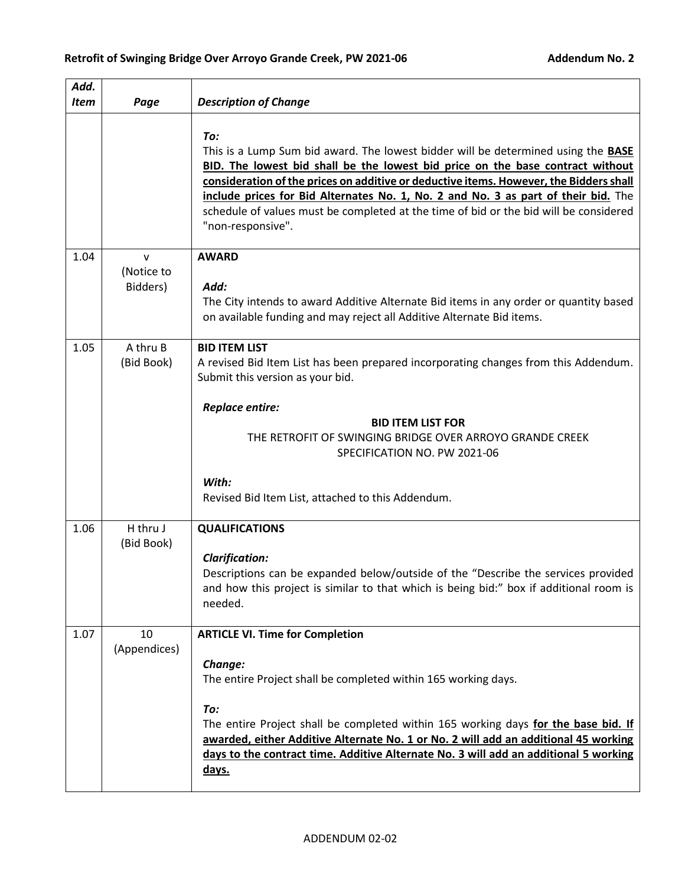| Add.<br><b>Item</b> | Page                                   | <b>Description of Change</b>                                                                                                                                                                                                                                                                                                                                                                                                                                                    |
|---------------------|----------------------------------------|---------------------------------------------------------------------------------------------------------------------------------------------------------------------------------------------------------------------------------------------------------------------------------------------------------------------------------------------------------------------------------------------------------------------------------------------------------------------------------|
|                     |                                        | To:<br>This is a Lump Sum bid award. The lowest bidder will be determined using the <b>BASE</b><br>BID. The lowest bid shall be the lowest bid price on the base contract without<br>consideration of the prices on additive or deductive items. However, the Bidders shall<br>include prices for Bid Alternates No. 1, No. 2 and No. 3 as part of their bid. The<br>schedule of values must be completed at the time of bid or the bid will be considered<br>"non-responsive". |
| 1.04                | $\mathsf{V}$<br>(Notice to<br>Bidders) | <b>AWARD</b><br>Add:<br>The City intends to award Additive Alternate Bid items in any order or quantity based<br>on available funding and may reject all Additive Alternate Bid items.                                                                                                                                                                                                                                                                                          |
| 1.05                | A thru B<br>(Bid Book)                 | <b>BID ITEM LIST</b><br>A revised Bid Item List has been prepared incorporating changes from this Addendum.<br>Submit this version as your bid.<br>Replace entire:<br><b>BID ITEM LIST FOR</b><br>THE RETROFIT OF SWINGING BRIDGE OVER ARROYO GRANDE CREEK<br>SPECIFICATION NO. PW 2021-06<br>With:<br>Revised Bid Item List, attached to this Addendum.                                                                                                                        |
| 1.06                | H thru J<br>(Bid Book)                 | <b>QUALIFICATIONS</b><br><b>Clarification:</b><br>Descriptions can be expanded below/outside of the "Describe the services provided<br>and how this project is similar to that which is being bid:" box if additional room is<br>needed.                                                                                                                                                                                                                                        |
| 1.07                | 10<br>(Appendices)                     | <b>ARTICLE VI. Time for Completion</b><br>Change:<br>The entire Project shall be completed within 165 working days.<br>To:<br>The entire Project shall be completed within 165 working days for the base bid. If<br>awarded, either Additive Alternate No. 1 or No. 2 will add an additional 45 working<br>days to the contract time. Additive Alternate No. 3 will add an additional 5 working<br><u>days.</u>                                                                 |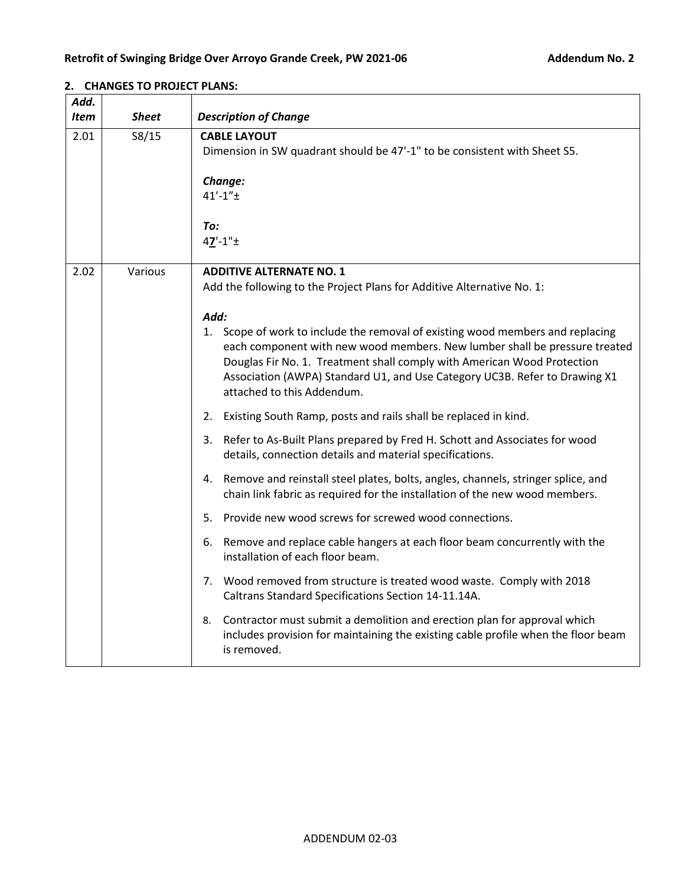| Add.<br><b>Item</b> | <b>Sheet</b> | <b>Description of Change</b>                                                                                                                                                                                                                                                                                                                                                                                                                                                                                                                                                                                                                                                                                                                                                                                                                                                                                                                                                                                                                                                                                                                                                                                                                                            |
|---------------------|--------------|-------------------------------------------------------------------------------------------------------------------------------------------------------------------------------------------------------------------------------------------------------------------------------------------------------------------------------------------------------------------------------------------------------------------------------------------------------------------------------------------------------------------------------------------------------------------------------------------------------------------------------------------------------------------------------------------------------------------------------------------------------------------------------------------------------------------------------------------------------------------------------------------------------------------------------------------------------------------------------------------------------------------------------------------------------------------------------------------------------------------------------------------------------------------------------------------------------------------------------------------------------------------------|
| 2.01                | S8/15        | <b>CABLE LAYOUT</b><br>Dimension in SW quadrant should be 47'-1" to be consistent with Sheet S5.<br>Change:<br>$41' - 1'' +$<br>To:<br>$47' - 1'' +$                                                                                                                                                                                                                                                                                                                                                                                                                                                                                                                                                                                                                                                                                                                                                                                                                                                                                                                                                                                                                                                                                                                    |
| 2.02                | Various      | <b>ADDITIVE ALTERNATE NO. 1</b><br>Add the following to the Project Plans for Additive Alternative No. 1:<br>Add:<br>1. Scope of work to include the removal of existing wood members and replacing<br>each component with new wood members. New lumber shall be pressure treated<br>Douglas Fir No. 1. Treatment shall comply with American Wood Protection<br>Association (AWPA) Standard U1, and Use Category UC3B. Refer to Drawing X1<br>attached to this Addendum.<br>Existing South Ramp, posts and rails shall be replaced in kind.<br>2.<br>3. Refer to As-Built Plans prepared by Fred H. Schott and Associates for wood<br>details, connection details and material specifications.<br>4. Remove and reinstall steel plates, bolts, angles, channels, stringer splice, and<br>chain link fabric as required for the installation of the new wood members.<br>5. Provide new wood screws for screwed wood connections.<br>6. Remove and replace cable hangers at each floor beam concurrently with the<br>installation of each floor beam.<br>7. Wood removed from structure is treated wood waste. Comply with 2018<br>Caltrans Standard Specifications Section 14-11.14A.<br>Contractor must submit a demolition and erection plan for approval which<br>8. |
|                     |              | includes provision for maintaining the existing cable profile when the floor beam<br>is removed.                                                                                                                                                                                                                                                                                                                                                                                                                                                                                                                                                                                                                                                                                                                                                                                                                                                                                                                                                                                                                                                                                                                                                                        |

# **2. CHANGES TO PROJECT PLANS:**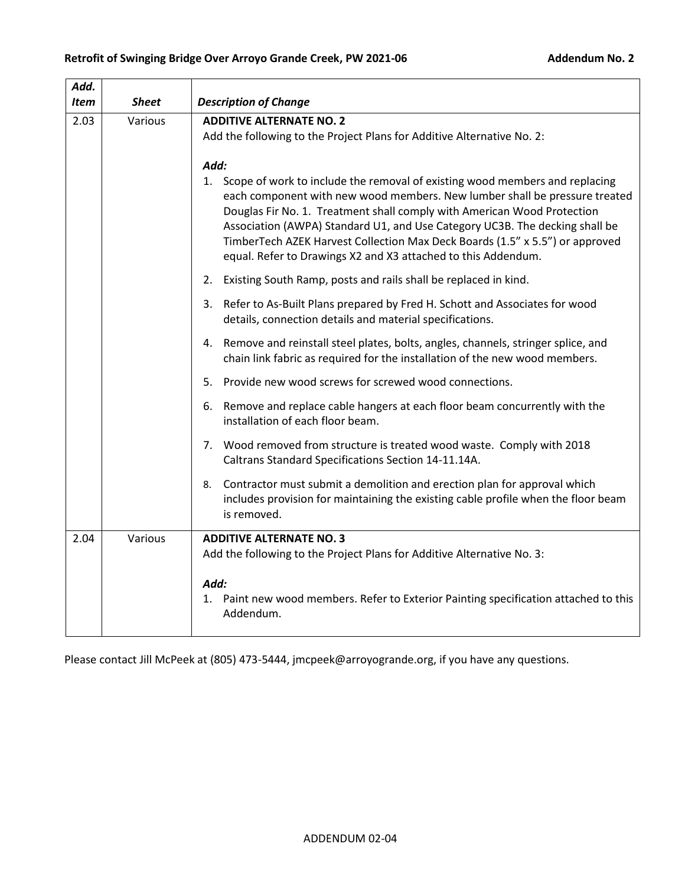| Add.        |              |                                                                                                                                                                                                                                                                                                                                                                                                                                                                                                                                                          |  |  |  |
|-------------|--------------|----------------------------------------------------------------------------------------------------------------------------------------------------------------------------------------------------------------------------------------------------------------------------------------------------------------------------------------------------------------------------------------------------------------------------------------------------------------------------------------------------------------------------------------------------------|--|--|--|
| <b>Item</b> | <b>Sheet</b> | <b>Description of Change</b>                                                                                                                                                                                                                                                                                                                                                                                                                                                                                                                             |  |  |  |
| 2.03        | Various      | <b>ADDITIVE ALTERNATE NO. 2</b><br>Add the following to the Project Plans for Additive Alternative No. 2:                                                                                                                                                                                                                                                                                                                                                                                                                                                |  |  |  |
|             |              | Add:<br>1. Scope of work to include the removal of existing wood members and replacing<br>each component with new wood members. New lumber shall be pressure treated<br>Douglas Fir No. 1. Treatment shall comply with American Wood Protection<br>Association (AWPA) Standard U1, and Use Category UC3B. The decking shall be<br>TimberTech AZEK Harvest Collection Max Deck Boards (1.5" x 5.5") or approved<br>equal. Refer to Drawings X2 and X3 attached to this Addendum.<br>Existing South Ramp, posts and rails shall be replaced in kind.<br>2. |  |  |  |
|             |              | 3. Refer to As-Built Plans prepared by Fred H. Schott and Associates for wood<br>details, connection details and material specifications.                                                                                                                                                                                                                                                                                                                                                                                                                |  |  |  |
|             |              | 4. Remove and reinstall steel plates, bolts, angles, channels, stringer splice, and<br>chain link fabric as required for the installation of the new wood members.                                                                                                                                                                                                                                                                                                                                                                                       |  |  |  |
|             |              | Provide new wood screws for screwed wood connections.<br>5.                                                                                                                                                                                                                                                                                                                                                                                                                                                                                              |  |  |  |
|             |              | 6. Remove and replace cable hangers at each floor beam concurrently with the<br>installation of each floor beam.                                                                                                                                                                                                                                                                                                                                                                                                                                         |  |  |  |
|             |              | 7. Wood removed from structure is treated wood waste. Comply with 2018<br>Caltrans Standard Specifications Section 14-11.14A.                                                                                                                                                                                                                                                                                                                                                                                                                            |  |  |  |
|             |              | Contractor must submit a demolition and erection plan for approval which<br>8.<br>includes provision for maintaining the existing cable profile when the floor beam<br>is removed.                                                                                                                                                                                                                                                                                                                                                                       |  |  |  |
| 2.04        | Various      | <b>ADDITIVE ALTERNATE NO. 3</b><br>Add the following to the Project Plans for Additive Alternative No. 3:                                                                                                                                                                                                                                                                                                                                                                                                                                                |  |  |  |
|             |              | Add:<br>1. Paint new wood members. Refer to Exterior Painting specification attached to this<br>Addendum.                                                                                                                                                                                                                                                                                                                                                                                                                                                |  |  |  |

Please contact Jill McPeek at (805) 473-5444, jmcpeek@arroyogrande.org, if you have any questions.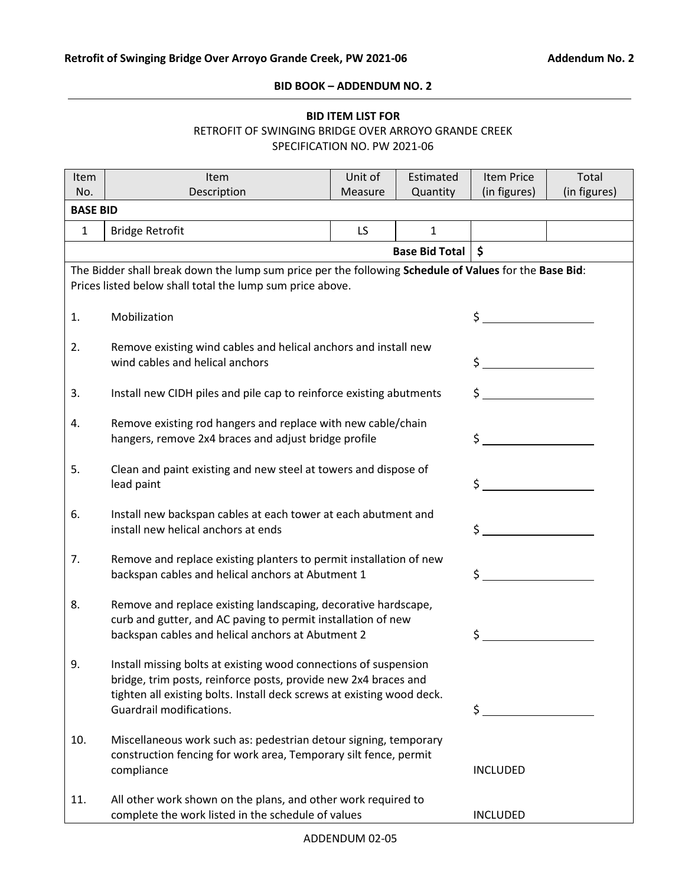#### **BID BOOK – ADDENDUM NO. 2**

# **BID ITEM LIST FOR** RETROFIT OF SWINGING BRIDGE OVER ARROYO GRANDE CREEK SPECIFICATION NO. PW 2021-06

| Item                   | Item                                                                                                                                                                                                                                      | Unit of | Estimated             | <b>Item Price</b>                    | Total |  |  |
|------------------------|-------------------------------------------------------------------------------------------------------------------------------------------------------------------------------------------------------------------------------------------|---------|-----------------------|--------------------------------------|-------|--|--|
| No.<br><b>BASE BID</b> | Description<br>(in figures)<br>(in figures)<br>Quantity<br>Measure                                                                                                                                                                        |         |                       |                                      |       |  |  |
| $\mathbf{1}$           | <b>Bridge Retrofit</b>                                                                                                                                                                                                                    | LS.     | $\mathbf{1}$          |                                      |       |  |  |
|                        |                                                                                                                                                                                                                                           |         | <b>Base Bid Total</b> | \$                                   |       |  |  |
|                        |                                                                                                                                                                                                                                           |         |                       |                                      |       |  |  |
|                        | The Bidder shall break down the lump sum price per the following Schedule of Values for the Base Bid:<br>Prices listed below shall total the lump sum price above.                                                                        |         |                       |                                      |       |  |  |
| 1.                     | Mobilization                                                                                                                                                                                                                              |         |                       | $\sharp$                             |       |  |  |
| 2.                     | Remove existing wind cables and helical anchors and install new<br>wind cables and helical anchors                                                                                                                                        |         |                       | $\frac{1}{2}$                        |       |  |  |
| 3.                     | Install new CIDH piles and pile cap to reinforce existing abutments                                                                                                                                                                       |         |                       | $\sharp$ $\qquad \qquad$             |       |  |  |
| 4.                     | Remove existing rod hangers and replace with new cable/chain<br>hangers, remove 2x4 braces and adjust bridge profile                                                                                                                      |         |                       | $\sharp$                             |       |  |  |
| 5.                     | Clean and paint existing and new steel at towers and dispose of<br>lead paint                                                                                                                                                             |         |                       | \$                                   |       |  |  |
| 6.                     | Install new backspan cables at each tower at each abutment and<br>install new helical anchors at ends                                                                                                                                     |         |                       | <u>and a strategic product</u><br>\$ |       |  |  |
| 7.                     | Remove and replace existing planters to permit installation of new<br>backspan cables and helical anchors at Abutment 1                                                                                                                   |         |                       | \$                                   |       |  |  |
| 8.                     | Remove and replace existing landscaping, decorative hardscape,<br>curb and gutter, and AC paving to permit installation of new<br>backspan cables and helical anchors at Abutment 2                                                       |         |                       | \$                                   |       |  |  |
| 9.                     | Install missing bolts at existing wood connections of suspension<br>bridge, trim posts, reinforce posts, provide new 2x4 braces and<br>tighten all existing bolts. Install deck screws at existing wood deck.<br>Guardrail modifications. |         |                       | \$                                   |       |  |  |
| 10.                    | Miscellaneous work such as: pedestrian detour signing, temporary<br>construction fencing for work area, Temporary silt fence, permit<br>compliance                                                                                        |         |                       | <b>INCLUDED</b>                      |       |  |  |
| 11.                    | All other work shown on the plans, and other work required to<br>complete the work listed in the schedule of values                                                                                                                       |         |                       | <b>INCLUDED</b>                      |       |  |  |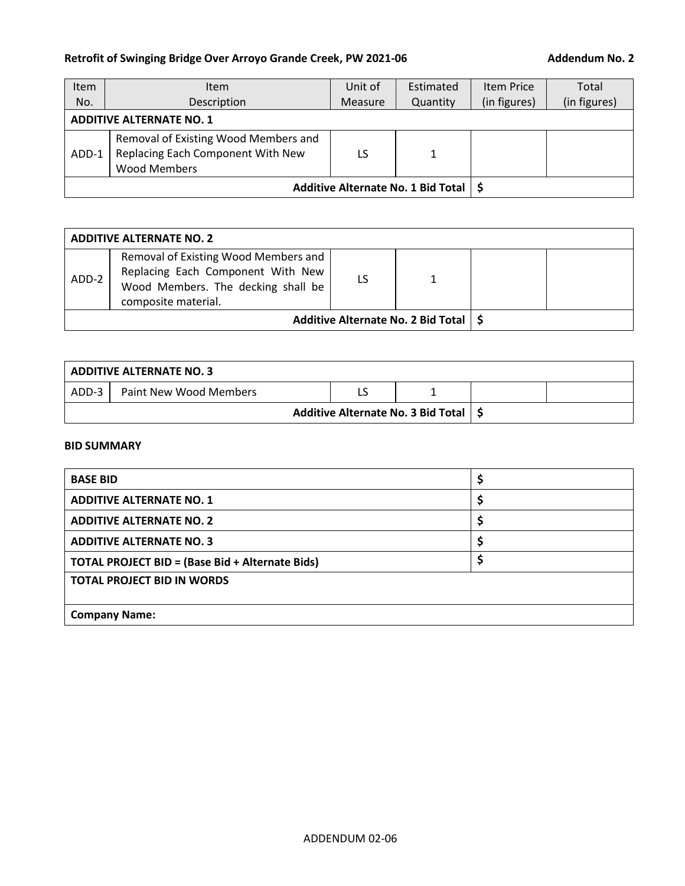# Retrofit of Swinging Bridge Over Arroyo Grande Creek, PW 2021-06 **Addendum No. 2**

| Item  | <b>Item</b>                                                                                      | Unit of | Estimated | <b>Item Price</b> | Total        |
|-------|--------------------------------------------------------------------------------------------------|---------|-----------|-------------------|--------------|
| No.   | Description                                                                                      |         | Quantity  | (in figures)      | (in figures) |
|       | <b>ADDITIVE ALTERNATE NO. 1</b>                                                                  |         |           |                   |              |
| ADD-1 | Removal of Existing Wood Members and<br>Replacing Each Component With New<br><b>Wood Members</b> | LS      | 1         |                   |              |
|       | Additive Alternate No. 1 Bid Total   \$                                                          |         |           |                   |              |

| <b>ADDITIVE ALTERNATE NO. 2</b> |                                                                                                                                        |  |                                         |  |  |
|---------------------------------|----------------------------------------------------------------------------------------------------------------------------------------|--|-----------------------------------------|--|--|
| ADD-2                           | Removal of Existing Wood Members and<br>Replacing Each Component With New<br>Wood Members. The decking shall be<br>composite material. |  |                                         |  |  |
|                                 |                                                                                                                                        |  | Additive Alternate No. 2 Bid Total   \$ |  |  |

| ADDITIVE ALTERNATE NO. 3 |                                         |  |  |  |  |
|--------------------------|-----------------------------------------|--|--|--|--|
| ADD-3                    | Paint New Wood Members                  |  |  |  |  |
|                          | Additive Alternate No. 3 Bid Total   \$ |  |  |  |  |

# **BID SUMMARY**

| <b>BASE BID</b>                                        |    |  |  |  |
|--------------------------------------------------------|----|--|--|--|
| <b>ADDITIVE ALTERNATE NO. 1</b>                        | \$ |  |  |  |
| <b>ADDITIVE ALTERNATE NO. 2</b>                        | ₹  |  |  |  |
| <b>ADDITIVE ALTERNATE NO. 3</b>                        |    |  |  |  |
| <b>TOTAL PROJECT BID = (Base Bid + Alternate Bids)</b> | \$ |  |  |  |
| <b>TOTAL PROJECT BID IN WORDS</b>                      |    |  |  |  |
|                                                        |    |  |  |  |
| <b>Company Name:</b>                                   |    |  |  |  |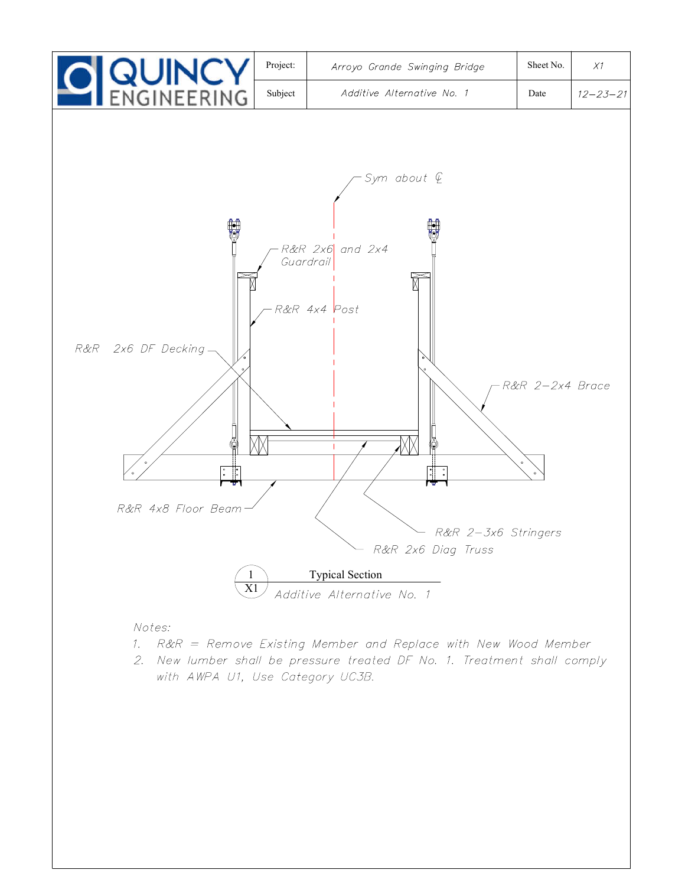

# Notes:

- 1. R&R = Remove Existing Member and Replace with New Wood Member
- 2. New lumber shall be pressure treated DF No. 1. Treatment shall comply with AWPA U1, Use Category UC3B.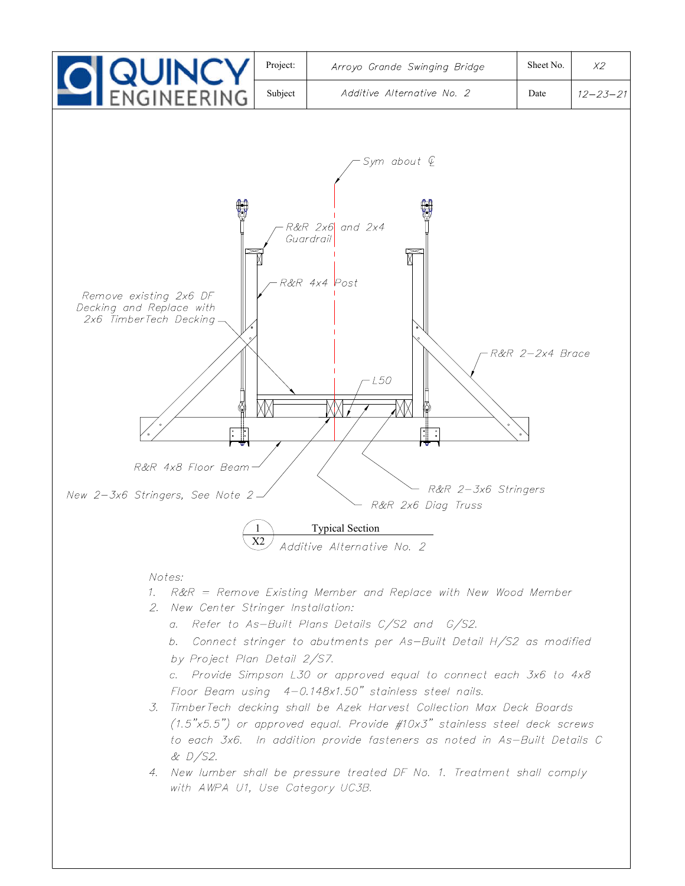

with AWPA U1, Use Category UC3B.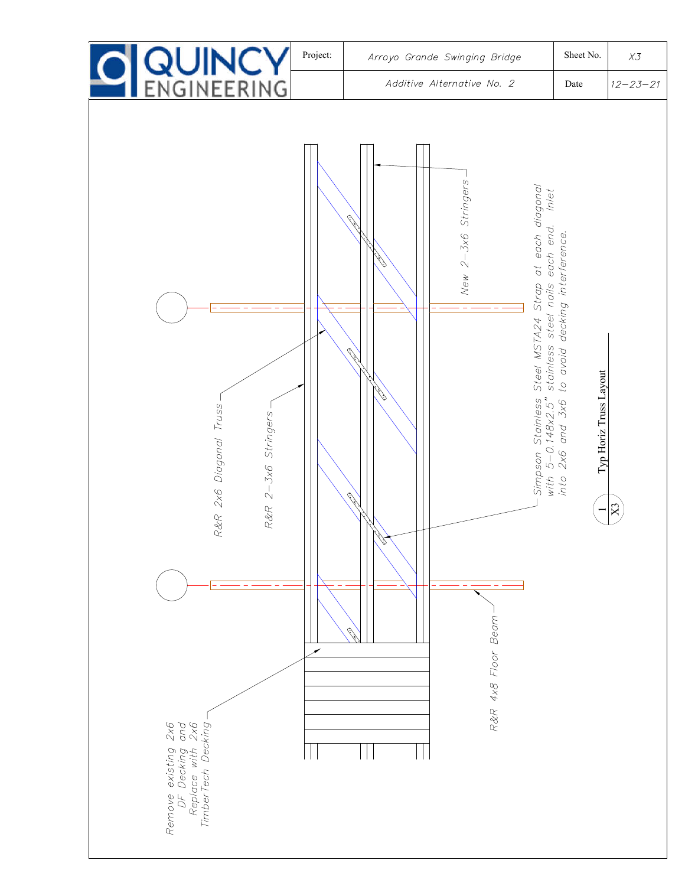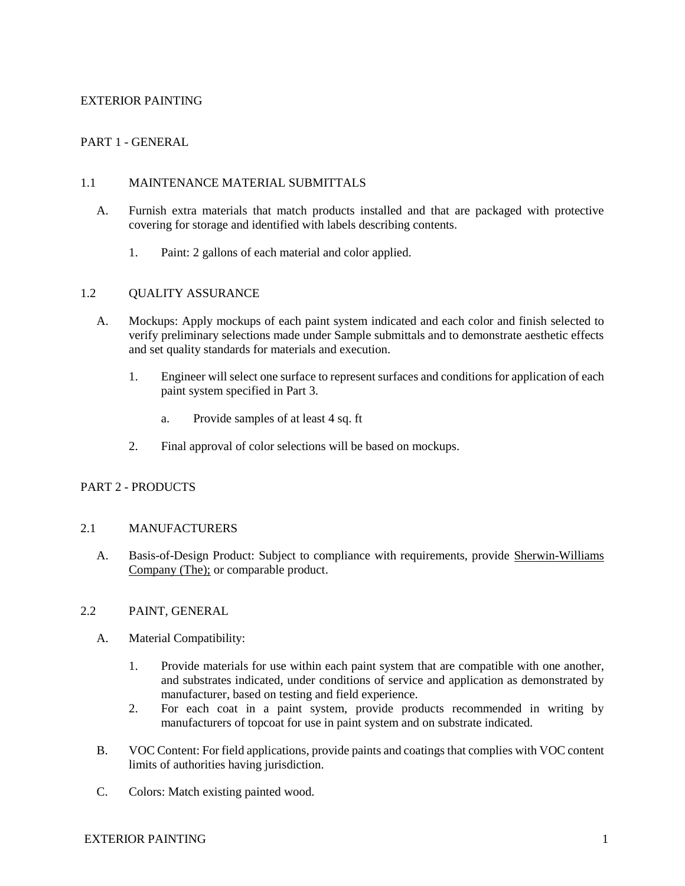# EXTERIOR PAINTING

# PART 1 - GENERAL

#### 1.1 MAINTENANCE MATERIAL SUBMITTALS

- A. Furnish extra materials that match products installed and that are packaged with protective covering for storage and identified with labels describing contents.
	- 1. Paint: 2 gallons of each material and color applied.

#### 1.2 OUALITY ASSURANCE

- A. Mockups: Apply mockups of each paint system indicated and each color and finish selected to verify preliminary selections made under Sample submittals and to demonstrate aesthetic effects and set quality standards for materials and execution.
	- 1. Engineer will select one surface to represent surfaces and conditions for application of each paint system specified in Part 3.
		- a. Provide samples of at least 4 sq. ft
	- 2. Final approval of color selections will be based on mockups.

### PART 2 - PRODUCTS

#### 2.1 MANUFACTURERS

A. Basis-of-Design Product: Subject to compliance with requirements, provide Sherwin-Williams [Company \(The\);](https://www.sherwin-williams.com/architects-specifiers-designers/specifications/) or comparable product.

# 2.2 PAINT, GENERAL

- A. Material Compatibility:
	- 1. Provide materials for use within each paint system that are compatible with one another, and substrates indicated, under conditions of service and application as demonstrated by manufacturer, based on testing and field experience.
	- 2. For each coat in a paint system, provide products recommended in writing by manufacturers of topcoat for use in paint system and on substrate indicated.
- B. VOC Content: For field applications, provide paints and coatings that complies with VOC content limits of authorities having jurisdiction.
- C. Colors: Match existing painted wood.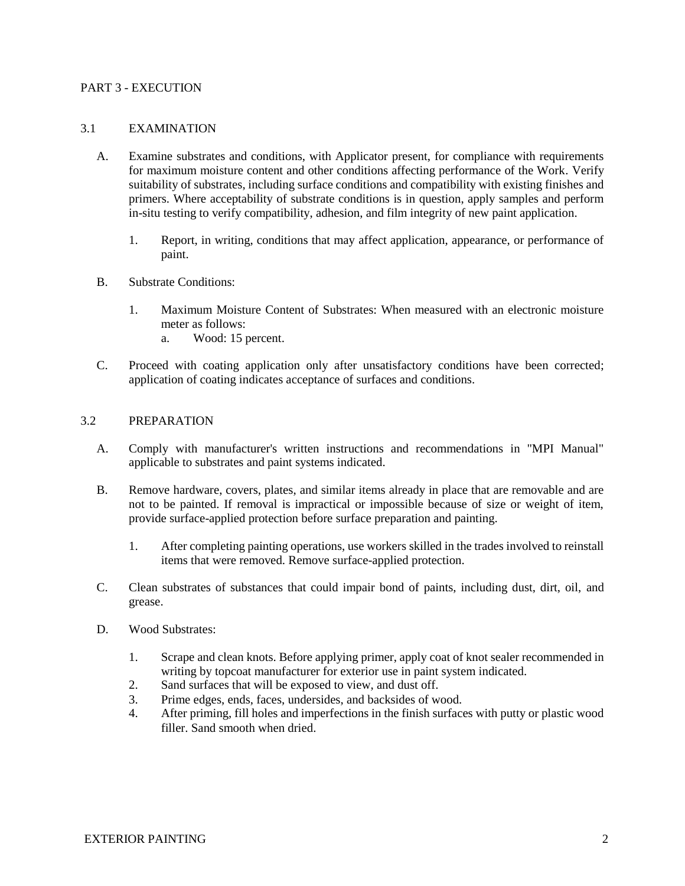#### PART 3 - EXECUTION

#### 3.1 EXAMINATION

- A. Examine substrates and conditions, with Applicator present, for compliance with requirements for maximum moisture content and other conditions affecting performance of the Work. Verify suitability of substrates, including surface conditions and compatibility with existing finishes and primers. Where acceptability of substrate conditions is in question, apply samples and perform in-situ testing to verify compatibility, adhesion, and film integrity of new paint application.
	- 1. Report, in writing, conditions that may affect application, appearance, or performance of paint.
- B. Substrate Conditions:
	- 1. Maximum Moisture Content of Substrates: When measured with an electronic moisture meter as follows:
		- a. Wood: 15 percent.
- C. Proceed with coating application only after unsatisfactory conditions have been corrected; application of coating indicates acceptance of surfaces and conditions.

#### 3.2 PREPARATION

- A. Comply with manufacturer's written instructions and recommendations in "MPI Manual" applicable to substrates and paint systems indicated.
- B. Remove hardware, covers, plates, and similar items already in place that are removable and are not to be painted. If removal is impractical or impossible because of size or weight of item, provide surface-applied protection before surface preparation and painting.
	- 1. After completing painting operations, use workers skilled in the trades involved to reinstall items that were removed. Remove surface-applied protection.
- C. Clean substrates of substances that could impair bond of paints, including dust, dirt, oil, and grease.
- D. Wood Substrates:
	- 1. Scrape and clean knots. Before applying primer, apply coat of knot sealer recommended in writing by topcoat manufacturer for exterior use in paint system indicated.
	- 2. Sand surfaces that will be exposed to view, and dust off.
	- 3. Prime edges, ends, faces, undersides, and backsides of wood.
	- 4. After priming, fill holes and imperfections in the finish surfaces with putty or plastic wood filler. Sand smooth when dried.